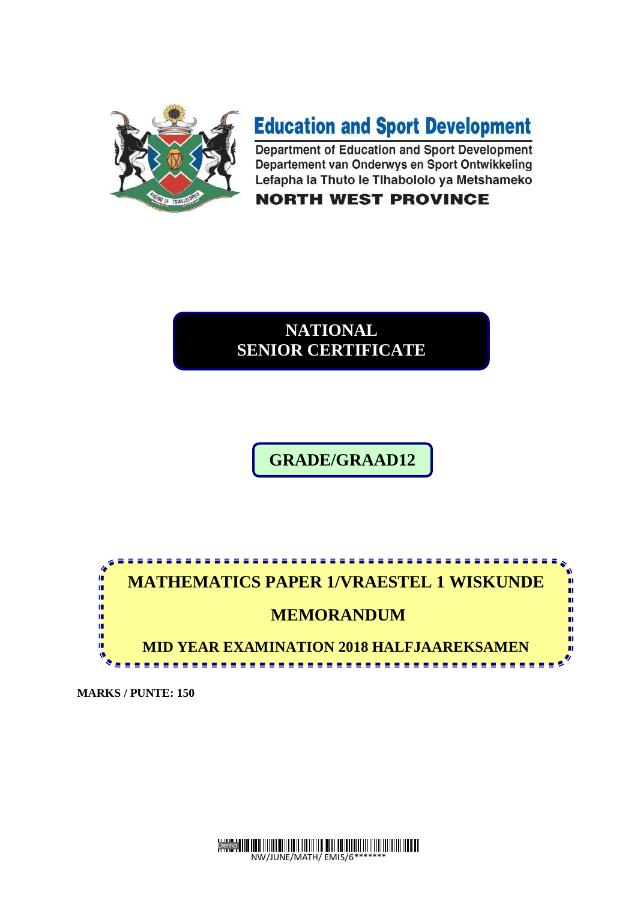

# **Education and Sport Development**

Department of Education and Sport Development Departement van Onderwys en Sport Ontwikkeling Lefapha la Thuto le Tlhabololo ya Metshameko

### **NORTH WEST PROVINCE**

### **NATIONAL SENIOR CERTIFICATE**

## **GRADE/GRAAD12**

**12**



**MARKS / PUNTE: 150** 

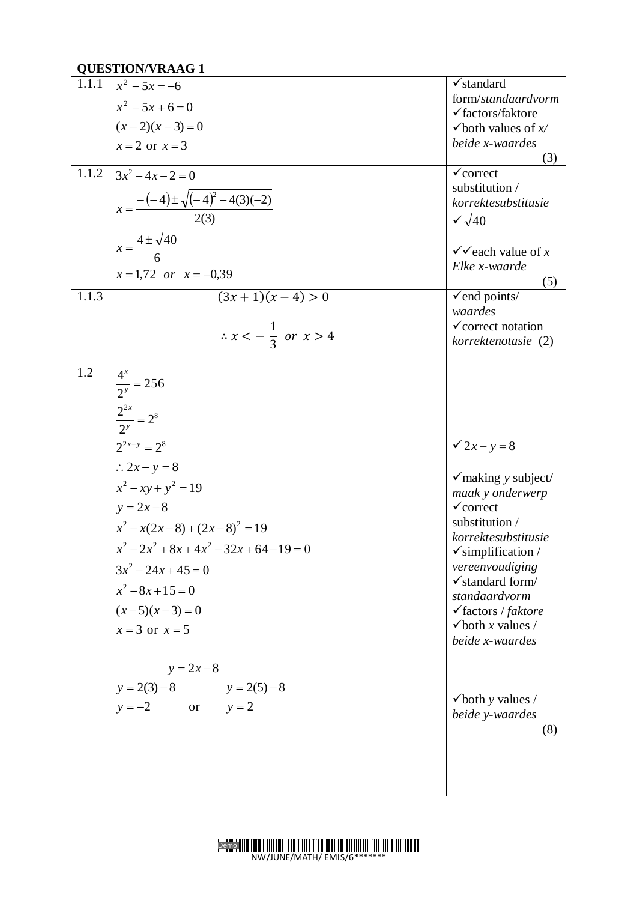|       | <b>QUESTION/VRAAG 1</b>                               |                                                      |
|-------|-------------------------------------------------------|------------------------------------------------------|
| 1.1.1 | $x^2 - 5x = -6$                                       | $\checkmark$ standard<br>form/standaardvorm          |
|       | $x^2-5x+6=0$                                          | $\checkmark$ factors/faktore                         |
|       | $(x-2)(x-3)=0$                                        | $\checkmark$ both values of $x$                      |
|       | $x = 2$ or $x = 3$                                    | beide x-waardes                                      |
| 1.1.2 | $3x^2-4x-2=0$                                         | (3)<br>$\checkmark$ correct                          |
|       |                                                       | substitution /                                       |
|       |                                                       | korrektesubstitusie                                  |
|       | $x = \frac{-(-4) \pm \sqrt{(-4)^2 - 4(3)(-2)}}{2(3)}$ | $\sqrt{40}$                                          |
|       | $x = \frac{4 \pm \sqrt{40}}{6}$                       |                                                      |
|       |                                                       | $\checkmark$ each value of x<br>Elke x-waarde        |
|       | $x = 1,72$ or $x = -0,39$                             | (5)                                                  |
| 1.1.3 | $\frac{1}{(3x+1)(x-4)} > 0$                           | $\checkmark$ end points/                             |
|       |                                                       | waardes                                              |
|       | $\therefore x < -\frac{1}{3}$ or $x > 4$              | $\checkmark$ correct notation<br>korrektenotasie (2) |
|       |                                                       |                                                      |
| 1.2   |                                                       |                                                      |
|       |                                                       |                                                      |
|       | $\frac{4^x}{2^y} = 256$<br>$\frac{2^{2x}}{2^y} = 2^8$ |                                                      |
|       |                                                       |                                                      |
|       | $2^{2x-y} = 2^8$                                      | $2x - y = 8$                                         |
|       | $\therefore 2x - y = 8$                               |                                                      |
|       | $x^2 - xy + y^2 = 19$                                 | $\checkmark$ making y subject/<br>maak y onderwerp   |
|       | $y = 2x - 8$                                          | $\checkmark$ correct                                 |
|       | $x^{2}-x(2x-8)+(2x-8)^{2}=19$                         | substitution /                                       |
|       | $x^2-2x^2+8x+4x^2-32x+64-19=0$                        | korrektesubstitusie<br>$\checkmark$ simplification / |
|       | $3x^2 - 24x + 45 = 0$                                 | vereenvoudiging                                      |
|       | $x^2-8x+15=0$                                         | $\checkmark$ standard form/                          |
|       | $(x-5)(x-3) = 0$                                      | standaardvorm<br>$\checkmark$ factors / faktore      |
|       | $x = 3$ or $x = 5$                                    | $\checkmark$ both x values /                         |
|       |                                                       | beide x-waardes                                      |
|       | $y = 2x - 8$                                          |                                                      |
|       | $y = 2(3) - 8$ $y = 2(5) - 8$                         |                                                      |
|       | $y = -2$ or $y = 2$                                   | $\checkmark$ both y values /                         |
|       |                                                       | beide y-waardes<br>(8)                               |
|       |                                                       |                                                      |
|       |                                                       |                                                      |
|       |                                                       |                                                      |
|       |                                                       |                                                      |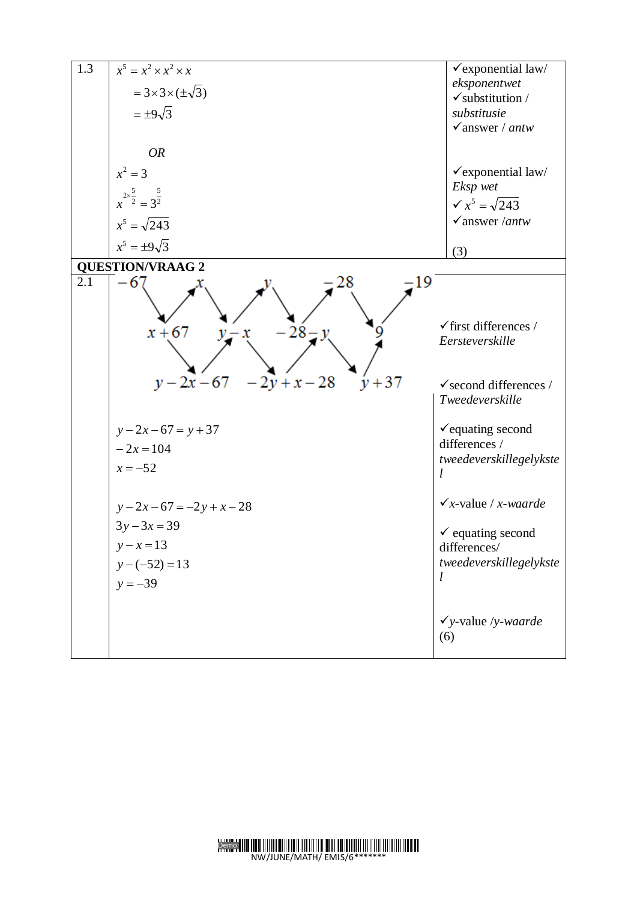| 1.3 | $x^5 = x^2 \times x^2 \times x$                                                | $\checkmark$ exponential law/                                                                               |
|-----|--------------------------------------------------------------------------------|-------------------------------------------------------------------------------------------------------------|
|     | $=3\times3\times(\pm\sqrt{3})$                                                 | eksponentwet<br>$\checkmark$ substitution /                                                                 |
|     | $=\pm 9\sqrt{3}$                                                               | substitusie                                                                                                 |
|     |                                                                                | $\checkmark$ answer / antw                                                                                  |
|     | <b>OR</b>                                                                      |                                                                                                             |
|     | $x^2 = 3$                                                                      | √exponential law/                                                                                           |
|     |                                                                                | Eksp wet                                                                                                    |
|     | $x^{2\times \frac{5}{2}} = 3^{\frac{5}{2}}$                                    | $\sqrt{x^5} = \sqrt{243}$                                                                                   |
|     | $x^5 = \sqrt{243}$                                                             | $\checkmark$ answer / <i>antw</i>                                                                           |
|     | $x^5 = \pm 9\sqrt{3}$                                                          | (3)                                                                                                         |
|     | <b>QUESTION/VRAAG 2</b>                                                        |                                                                                                             |
| 2.1 | 19<br>-6<br>$-28 - y$<br>$x + 67$<br>$v-x$<br>$y-2x-67$ $-2y+x-28$<br>$y + 37$ | $\checkmark$ first differences /<br>Eersteverskille<br>$\checkmark$ second differences /<br>Tweedeverskille |
|     | $y - 2x - 67 = y + 37$                                                         | $\checkmark$ equating second                                                                                |
|     | $-2x=104$                                                                      | differences /                                                                                               |
|     | $x = -52$                                                                      | tweedeverskillegelykste                                                                                     |
|     | $y-2x-67=-2y+x-28$                                                             | $\checkmark$ x-value / x-waarde                                                                             |
|     | $3y-3x=39$                                                                     |                                                                                                             |
|     | $y - x = 13$                                                                   | $\checkmark$ equating second<br>differences/                                                                |
|     | $y - (-52) = 13$                                                               | tweedeverskillegelykste                                                                                     |
|     | $y = -39$                                                                      | l                                                                                                           |
|     |                                                                                | $\checkmark$ y-value /y-waarde<br>(6)                                                                       |

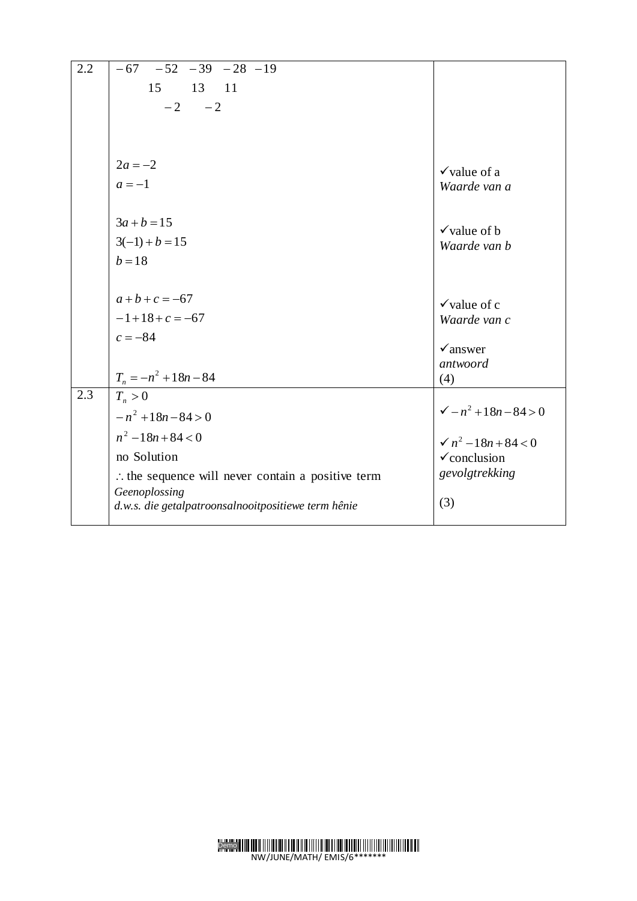| 2.2 | $-67 - 52 - 39 - 28 - 19$                                    |                                         |
|-----|--------------------------------------------------------------|-----------------------------------------|
|     | 15<br>13 11                                                  |                                         |
|     | $-2$<br>$-2$                                                 |                                         |
|     |                                                              |                                         |
|     |                                                              |                                         |
|     |                                                              |                                         |
|     | $2a = -2$                                                    | $\checkmark$ value of a                 |
|     | $a=-1$                                                       | Waarde van a                            |
|     |                                                              |                                         |
|     | $3a + b = 15$                                                |                                         |
|     | $3(-1) + b = 15$                                             | $\checkmark$ value of b<br>Waarde van b |
|     | $b = 18$                                                     |                                         |
|     |                                                              |                                         |
|     | $a+b+c = -67$                                                |                                         |
|     | $-1+18+c = -67$                                              | $\checkmark$ value of c                 |
|     |                                                              | Waarde van c                            |
|     | $c = -84$                                                    | $\checkmark$ answer                     |
|     |                                                              | antwoord                                |
|     | $T_n = -n^2 + 18n - 84$                                      | (4)                                     |
| 2.3 | $T_n > 0$                                                    |                                         |
|     | $-n^2+18n-84>0$                                              | $\sqrt{-n^2+18n-84} > 0$                |
|     | $n^2-18n+84 < 0$                                             | $\sqrt{n^2-18n+84}$ < 0                 |
|     | no Solution                                                  | $\checkmark$ conclusion                 |
|     | $\therefore$ the sequence will never contain a positive term | gevolgtrekking                          |
|     | Geenoplossing                                                |                                         |
|     | d.w.s. die getalpatroonsalnooitpositiewe term hênie          | (3)                                     |
|     |                                                              |                                         |

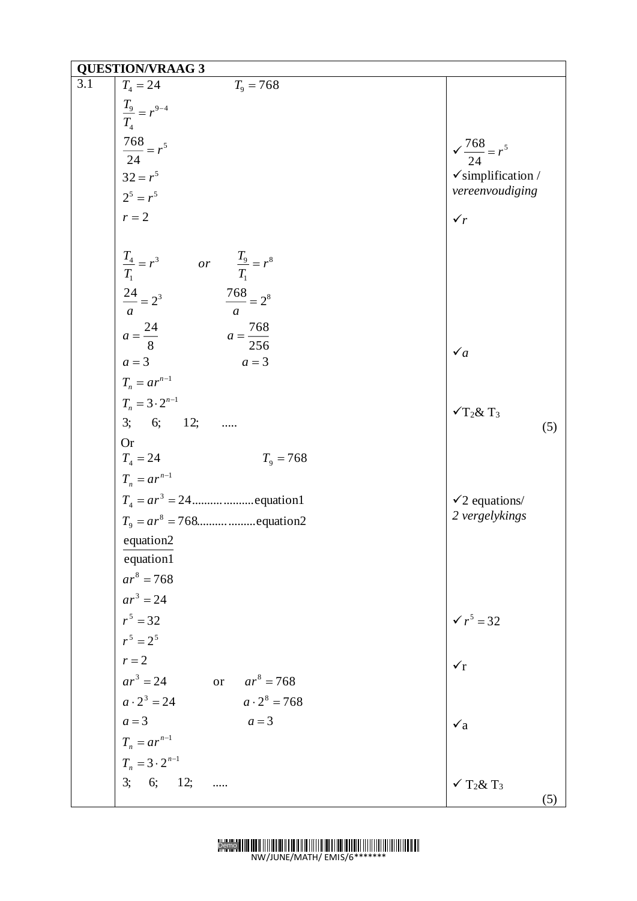|     | <b>QUESTION/VRAAG 3</b>                                                                                                                                                                                                                                                                                                                                                               |                                                     |
|-----|---------------------------------------------------------------------------------------------------------------------------------------------------------------------------------------------------------------------------------------------------------------------------------------------------------------------------------------------------------------------------------------|-----------------------------------------------------|
| 3.1 | $T_{4} = 24$<br>$T_9 = 768$                                                                                                                                                                                                                                                                                                                                                           |                                                     |
|     | $\frac{T_9}{T_4} = r^{9-4}$                                                                                                                                                                                                                                                                                                                                                           |                                                     |
|     |                                                                                                                                                                                                                                                                                                                                                                                       |                                                     |
|     | $\frac{768}{24} = r^5$<br>$32 = r^5$<br>$2^5 = r^5$                                                                                                                                                                                                                                                                                                                                   | $\sqrt{\frac{768}{24}} = r^5$                       |
|     |                                                                                                                                                                                                                                                                                                                                                                                       |                                                     |
|     |                                                                                                                                                                                                                                                                                                                                                                                       | $\checkmark$ simplification /<br>vereenvoudiging    |
|     | $r = 2$                                                                                                                                                                                                                                                                                                                                                                               |                                                     |
|     |                                                                                                                                                                                                                                                                                                                                                                                       | $\checkmark$                                        |
|     | $\frac{T_4}{T_1} = r^3$ or $\frac{T_9}{T_1} = r^8$<br>$\frac{24}{a} = 2^3$ $\frac{768}{a} = 2^8$                                                                                                                                                                                                                                                                                      |                                                     |
|     | $a = \frac{768}{256}$<br><i>a</i> = $\frac{24}{8}$ <i>a</i> = $\frac{24}{8}$ <i>a</i> = $\frac{24}{8}$ <i>a</i> = $\frac{24}{10}$ <i>a</i> = $\frac{24}{10}$ <i>a</i> = $\frac{3}{10}$ <i>a</i> = $\frac{3 \cdot 2^{n-1}}{2 \cdot 6}$ <i>a</i> = $\frac{24}{10}$ <i>a</i> = $\frac{24}{10}$ <i>a</i> = $\frac{24}{10}$ <i>a</i> = $\frac{24}{10}$ <i>a</i> = $\frac{24}{10}$<br>$a=3$ | $\checkmark_a$                                      |
|     |                                                                                                                                                                                                                                                                                                                                                                                       |                                                     |
|     |                                                                                                                                                                                                                                                                                                                                                                                       | $\sqrt{T_2 \& T_3}$<br>(5)                          |
|     | <b>Or</b><br>$T_4 = 24$<br>$T_n = ar^{n-1}$<br>$T_9 = 768$                                                                                                                                                                                                                                                                                                                            |                                                     |
|     |                                                                                                                                                                                                                                                                                                                                                                                       |                                                     |
|     |                                                                                                                                                                                                                                                                                                                                                                                       | $\checkmark$ 2 equations/                           |
|     |                                                                                                                                                                                                                                                                                                                                                                                       | 2 vergelykings                                      |
|     | equation2<br>equation1<br>$ar^8 = 768$<br>$ar^3 = 24$                                                                                                                                                                                                                                                                                                                                 |                                                     |
|     | $r^5 = 32$                                                                                                                                                                                                                                                                                                                                                                            | $\sqrt{r^5} = 32$                                   |
|     | $r^5 = 2^5$                                                                                                                                                                                                                                                                                                                                                                           |                                                     |
|     | $r=2$                                                                                                                                                                                                                                                                                                                                                                                 | $\checkmark$                                        |
|     | $ar^3 = 24$<br>or $ar^8 = 768$                                                                                                                                                                                                                                                                                                                                                        |                                                     |
|     | $a \cdot 2^3 = 24$ $a \cdot 2^8 = 768$                                                                                                                                                                                                                                                                                                                                                |                                                     |
|     | $a=3$<br>$a=3$                                                                                                                                                                                                                                                                                                                                                                        | $\mathbf{v}_a$                                      |
|     |                                                                                                                                                                                                                                                                                                                                                                                       |                                                     |
|     |                                                                                                                                                                                                                                                                                                                                                                                       |                                                     |
|     | $T_n = ar^{n-1}$<br>$T_n = 3 \cdot 2^{n-1}$<br>3; 6; 12;                                                                                                                                                                                                                                                                                                                              | $\checkmark$ T <sub>2</sub> & T <sub>3</sub><br>(5) |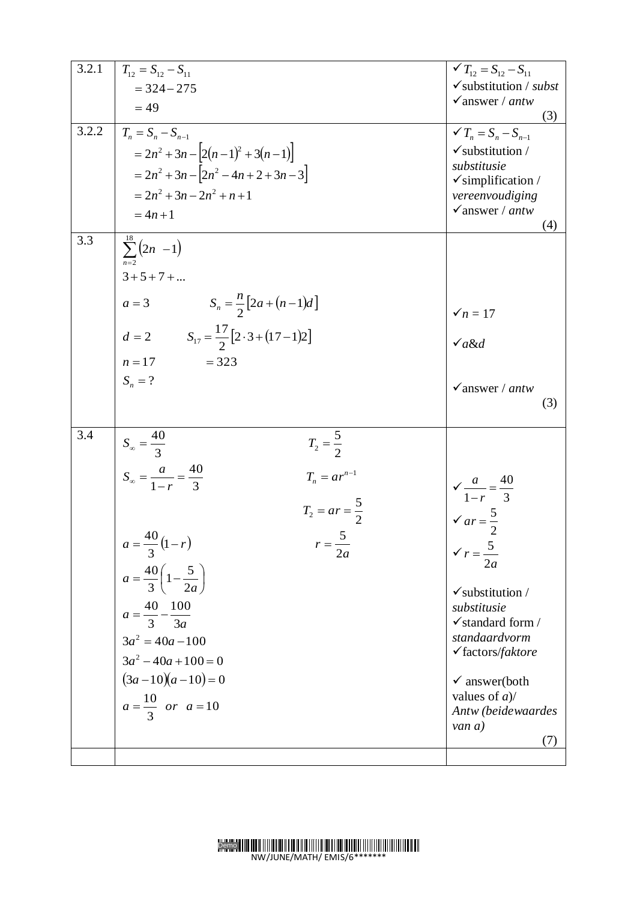| 3.2.1<br>3.2.2<br>3.3 | $T_{12} = S_{12} - S_{11}$<br>$=$ 324 - 275<br>$= 49$<br>$T_n = S_n - S_{n-1}$<br>$= 2n^2 + 3n - [2(n-1)^2 + 3(n-1)]$<br>$= 2n^2 + 3n - 2n^2 - 4n + 2 + 3n - 3$<br>$= 2n^2 + 3n - 2n^2 + n + 1$<br>$= 4n + 1$                                                                                                                                                                                               | $\checkmark T_{12} = S_{12} - S_{11}$<br>$\checkmark$ substitution / subst<br>$\checkmark$ answer / antw<br>(3)<br>$\checkmark T_n = S_n - S_{n-1}$<br>$\checkmark$ substitution /<br>substitusie<br>$\checkmark$ simplification /<br>vereenvoudiging<br>$\checkmark$ answer / antw<br>(4)                                     |
|-----------------------|-------------------------------------------------------------------------------------------------------------------------------------------------------------------------------------------------------------------------------------------------------------------------------------------------------------------------------------------------------------------------------------------------------------|--------------------------------------------------------------------------------------------------------------------------------------------------------------------------------------------------------------------------------------------------------------------------------------------------------------------------------|
|                       | $\sum_{n=2}^{18} (2n - 1)$<br>$3 + 5 + 7 + $<br>$a = 3$ $S_n = \frac{n}{2} [2a + (n-1)d]$<br>$d = 2$ $S_{17} = \frac{17}{2} [2 \cdot 3 + (17 - 1)2]$<br>$= 323$<br>$n=17$<br>$S_n = ?$                                                                                                                                                                                                                      | $\checkmark n=17$<br>$\sqrt{a\&d}$<br>$\sqrt{a}$ answer / antw<br>(3)                                                                                                                                                                                                                                                          |
| 3.4                   | $S_{\infty} = \frac{40}{3}$<br>$T_2 = \frac{5}{2}$<br>$S_{\infty} = \frac{a}{1-r} = \frac{40}{3}$<br>$T_n = ar^{n-1}$<br>$T_2 = ar = \frac{5}{2}$<br>$a = \frac{40}{3}(1-r)$<br>5<br>$r = \frac{ }{2a}$<br>$a = \frac{40}{3} \left( 1 - \frac{5}{2a} \right)$<br>$a = \frac{40}{3} - \frac{100}{3a}$<br>$3a^2 = 40a - 100$<br>$3a^2 - 40a + 100 = 0$<br>$(3a-10)(a-10)=0$<br>$a = \frac{10}{3}$ or $a = 10$ | $\sqrt{\frac{a}{1-r}} = \frac{40}{3}$<br>$\sqrt{ar} = \frac{5}{2}$<br>$\checkmark$ $r = \frac{5}{2a}$<br>$\checkmark$ substitution /<br>substitusie<br>$\checkmark$ standard form /<br>standaardvorm<br>$\checkmark$ factors/faktore<br>$\checkmark$ answer(both<br>values of $a$ )/<br>Antw (beidewaardes<br>van $a$ )<br>(7) |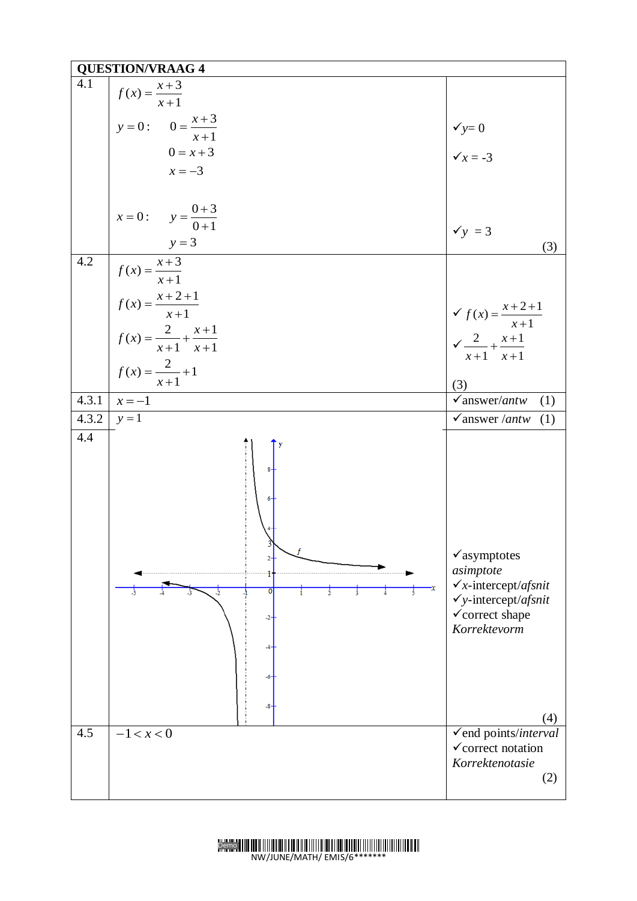|       | <b>QUESTION/VRAAG 4</b>                                                                                                          |                                                                                                                                                          |
|-------|----------------------------------------------------------------------------------------------------------------------------------|----------------------------------------------------------------------------------------------------------------------------------------------------------|
| 4.1   | $f(x) = \frac{x+3}{x+1}$                                                                                                         |                                                                                                                                                          |
|       | $y = 0:$ $0 = \frac{x+3}{x+1}$                                                                                                   |                                                                                                                                                          |
|       | $0 = x + 3$                                                                                                                      | $\begin{cases} \sqrt{y} = 0 \\ \sqrt{x} = -3 \end{cases}$                                                                                                |
|       | $x = -3$                                                                                                                         |                                                                                                                                                          |
|       |                                                                                                                                  |                                                                                                                                                          |
|       | $x = 0:$ $y = \frac{0+3}{0+1}$                                                                                                   | $\checkmark$ y = 3                                                                                                                                       |
|       | $y = 3$                                                                                                                          | (3)                                                                                                                                                      |
| 4.2   |                                                                                                                                  |                                                                                                                                                          |
|       |                                                                                                                                  |                                                                                                                                                          |
|       |                                                                                                                                  | $\begin{cases}\n\checkmark f(x) = \frac{x+2+1}{x+1} \\ \checkmark \frac{2}{x+1} + \frac{x+1}{x+1}\n\end{cases}$                                          |
|       | $f(x) = \frac{x+3}{x+1}$<br>$f(x) = \frac{x+2+1}{x+1}$<br>$f(x) = \frac{2}{x+1} + \frac{x+1}{x+1}$<br>$f(x) = \frac{2}{x+1} + 1$ | (3)                                                                                                                                                      |
| 4.3.1 | $x = -1$                                                                                                                         | $\checkmark$ answer/antw<br>(1)                                                                                                                          |
| 4.3.2 | $y=1$                                                                                                                            | $\checkmark$ answer / <i>antw</i><br>(1)                                                                                                                 |
| 4.4   | O                                                                                                                                | $\checkmark$ asymptotes<br>asimptote<br>$\checkmark$ x-intercept/afsnit<br>$\checkmark$ y-intercept/afsnit<br>$\checkmark$ correct shape<br>Korrektevorm |
|       |                                                                                                                                  | (4)                                                                                                                                                      |
| 4.5   | $-1 < x < 0$                                                                                                                     | √end points/interval<br>$\checkmark$ correct notation<br>Korrektenotasie<br>(2)                                                                          |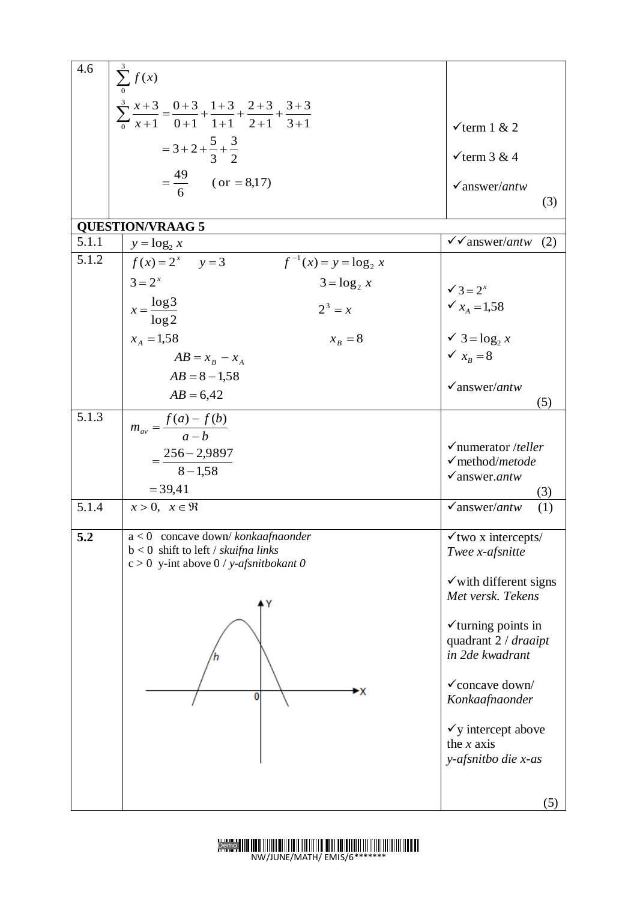| 4.6   | $\sum_{0}^{\infty} f(x)$                                                                               |                                                   |
|-------|--------------------------------------------------------------------------------------------------------|---------------------------------------------------|
|       |                                                                                                        |                                                   |
|       | $\sum_{0}^{3} \frac{x+3}{x+1} = \frac{0+3}{0+1} + \frac{1+3}{1+1} + \frac{2+3}{2+1} + \frac{3+3}{3+1}$ |                                                   |
|       | $=3+2+\frac{5}{3}+\frac{3}{2}$                                                                         | $\checkmark$ term 1 & 2                           |
|       |                                                                                                        | $\checkmark$ term 3 & 4                           |
|       | $=\frac{49}{6}$ (or = 8,17)                                                                            | $\sqrt{answer/antw}$                              |
|       |                                                                                                        | (3)                                               |
|       | <b>QUESTION/VRAAG 5</b>                                                                                |                                                   |
| 5.1.1 | $y = log_2 x$                                                                                          | $\sqrt{\sqrt{a}}$ answer/antw<br>(2)              |
| 5.1.2 | $f(x) = 2^x$ $y = 3$<br>$f^{-1}(x) = y = \log_2 x$                                                     |                                                   |
|       | $3 = 2^x$<br>$3 = \log_2 x$                                                                            | $\checkmark$ 3 = 2 <sup>x</sup>                   |
|       | $x = \frac{\log 3}{\log 2}$<br>$2^3 = x$                                                               | $\checkmark$ $x_A = 1,58$                         |
|       | $x_A = 1,58$<br>$x_R = 8$                                                                              | $\checkmark$ 3 = $\log_2 x$                       |
|       | $AB = x_B - x_A$                                                                                       | $\checkmark$ $x_B = 8$                            |
|       | $AB = 8 - 1,58$                                                                                        | $\sqrt{answer/antw}$                              |
|       | $AB = 6,42$                                                                                            | (5)                                               |
| 5.1.3 | $m_{av} = \frac{f(a) - f(b)}{a - b}$                                                                   |                                                   |
|       |                                                                                                        | $\checkmark$ numerator /teller                    |
|       | $=\frac{256-29897}{8-1.58}$                                                                            | √method/metode                                    |
|       | $= 39,41$                                                                                              | $\checkmark$ answer.antw<br>(3)                   |
| 5.1.4 | $x > 0$ , $x \in \Re$                                                                                  | $\sqrt{answer/antw}$<br>(1)                       |
|       |                                                                                                        |                                                   |
| 5.2   | $a < 0$ concave down/ konkaafnaonder<br>$b < 0$ shift to left / skuifna links                          | $\checkmark$ two x intercepts/<br>Twee x-afsnitte |
|       | $c > 0$ y-int above $0 / y$ -afsnitbokant 0                                                            |                                                   |
|       |                                                                                                        | $\checkmark$ with different signs                 |
|       |                                                                                                        | Met versk. Tekens                                 |
|       |                                                                                                        | $\checkmark$ turning points in                    |
|       |                                                                                                        | quadrant 2 / draaipt                              |
|       |                                                                                                        | in 2de kwadrant                                   |
|       | ►X                                                                                                     | $\checkmark$ concave down/                        |
|       | 0                                                                                                      | Konkaafnaonder                                    |
|       |                                                                                                        | $\checkmark$ y intercept above                    |
|       |                                                                                                        | the $x$ axis                                      |
|       |                                                                                                        | y-afsnitbo die x-as                               |
|       |                                                                                                        |                                                   |
|       |                                                                                                        | (5)                                               |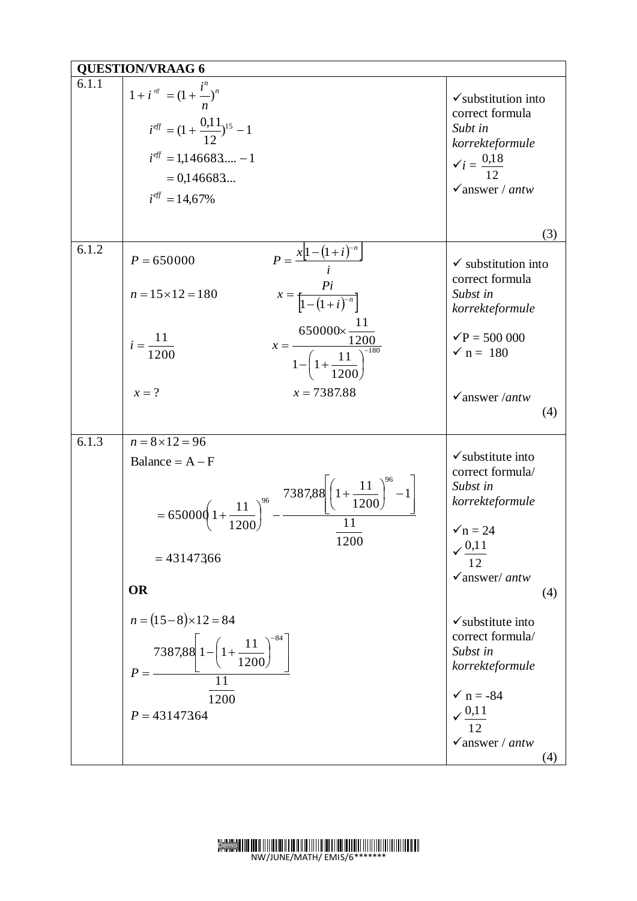|       | <b>QUESTION/VRAAG 6</b>                                                                                                                                                                                                                           |                                                                                                                                                                   |
|-------|---------------------------------------------------------------------------------------------------------------------------------------------------------------------------------------------------------------------------------------------------|-------------------------------------------------------------------------------------------------------------------------------------------------------------------|
| 6.1.1 | $1 + i^{e^{i\pi}} = (1 + \frac{i^{n}}{n})^{n}$<br>$i^{eff} = (1 + \frac{0.11}{12})^{15} - 1$<br>$i^{eff} = 1,146683 - 1$<br>$= 0.146683$<br>$i^{eff} = 14,67\%$                                                                                   | $\checkmark$ substitution into<br>correct formula<br>Subt in<br>korrekteformule<br>$\check{i} = \frac{0.18}{12}$<br>$\checkmark$ answer / antw                    |
|       |                                                                                                                                                                                                                                                   | (3)                                                                                                                                                               |
| 6.1.2 | $P = \frac{x[1-(1+i)^{-n}]}{i}$<br>$P = 650000$<br>$x = \frac{Pi}{\left[1 - (1 + i)^{-n}\right]}$<br>$n = 15 \times 12 = 180$<br>$x = \frac{650000 \times \frac{11}{1200}}{1 - \left(1 + \frac{11}{1200}\right)^{-180}}$<br>$i = \frac{11}{1200}$ | $\checkmark$ substitution into<br>correct formula<br>Subst in<br>korrekteformule<br>$\sqrt{P} = 500\,000$<br>$\sqrt{n} = 180$                                     |
|       | $x = ?$<br>$x = 7387.88$                                                                                                                                                                                                                          | $\checkmark$ answer /antw<br>(4)                                                                                                                                  |
| 6.1.3 | $n = 8 \times 12 = 96$<br>Balance = $A - F$<br>$= 650000 \left(1 + \frac{11}{1200}\right)^{96} - \frac{738788 \left(1 + \frac{11}{1200}\right)^{96} - 1}{11}$<br>1200<br>$= 43147366$<br><b>OR</b>                                                | $\checkmark$ substitute into<br>correct formula/<br>Subst in<br>korrekteformule<br>$\sqrt{n} = 24$<br>$\sqrt{0.11}$<br>$\checkmark$ answer/ antw<br>(4)           |
|       | $n = (15-8) \times 12 = 84$<br>7387,88 $\left[1 - \left(1 + \frac{11}{1200}\right)^{-84}\right]$<br>1200<br>$P = 43147364$                                                                                                                        | $\checkmark$ substitute into<br>correct formula/<br>Subst in<br>korrekteformule<br>$\checkmark$ n = -84<br>$\frac{0,11}{12}$<br>$\checkmark$ answer / antw<br>(4) |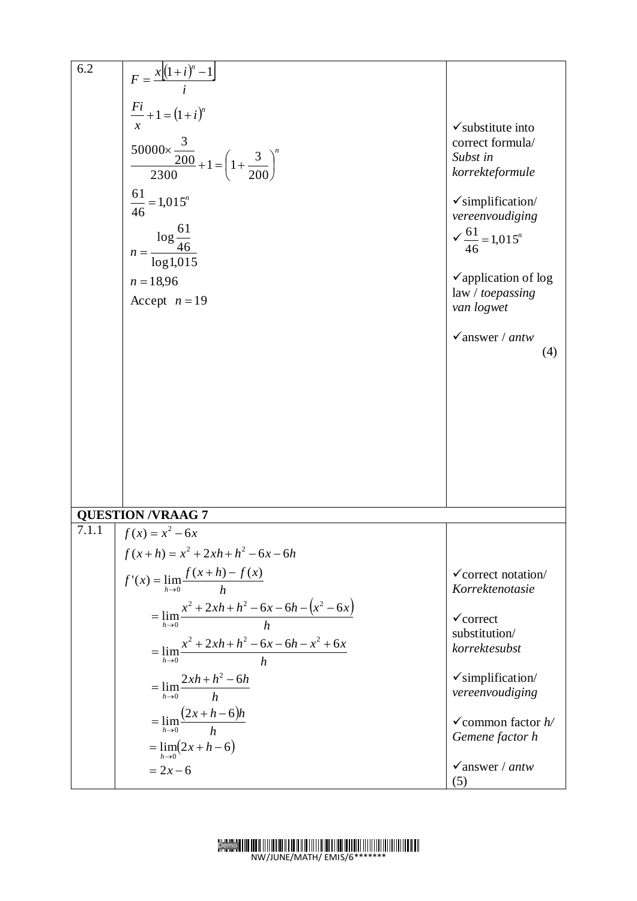| 6.2   |                                                                                  |                                                     |
|-------|----------------------------------------------------------------------------------|-----------------------------------------------------|
|       | $F = \frac{x[(1+i)^n - 1]}{i}$                                                   |                                                     |
|       |                                                                                  |                                                     |
|       | $\frac{Fi}{r} + 1 = (1 + i)^n$                                                   |                                                     |
|       |                                                                                  | $\checkmark$ substitute into                        |
|       | $\frac{50000 \times \frac{3}{200}}{2300} + 1 = \left(1 + \frac{3}{200}\right)^n$ | correct formula/                                    |
|       |                                                                                  | Subst in                                            |
|       |                                                                                  | korrekteformule                                     |
|       |                                                                                  |                                                     |
|       | $\frac{61}{46}$ = 1,015 <sup>n</sup>                                             | $\checkmark$ simplification/                        |
|       |                                                                                  | vereenvoudiging                                     |
|       |                                                                                  | $\sqrt{\frac{61}{46}}$ = 1,015 <sup>n</sup>         |
|       | $\frac{\log\frac{61}{46}}{\log1{,}015}$<br>$n = -$                               |                                                     |
|       |                                                                                  |                                                     |
|       | $n = 18,96$                                                                      | $\checkmark$ application of log                     |
|       | Accept $n = 19$                                                                  | law / toepassing<br>van logwet                      |
|       |                                                                                  |                                                     |
|       |                                                                                  | $\sqrt{a}$ answer / antw                            |
|       |                                                                                  | (4)                                                 |
|       |                                                                                  |                                                     |
|       |                                                                                  |                                                     |
|       |                                                                                  |                                                     |
|       |                                                                                  |                                                     |
|       |                                                                                  |                                                     |
|       |                                                                                  |                                                     |
|       |                                                                                  |                                                     |
|       |                                                                                  |                                                     |
|       |                                                                                  |                                                     |
|       | <b>QUESTION /VRAAG 7</b>                                                         |                                                     |
| 7.1.1 | $f(x) = x^2 - 6x$                                                                |                                                     |
|       | $f(x+h) = x^2 + 2xh + h^2 - 6x - 6h$                                             |                                                     |
|       | $f'(x) = \lim_{h \to 0} \frac{f(x+h) - f(x)}{h}$                                 | $\checkmark$ correct notation/                      |
|       |                                                                                  | Korrektenotasie                                     |
|       | $= \lim_{h\to 0} \frac{x^2 + 2xh + h^2 - 6x - 6h - (x^2 - 6x)}{h}$               | $\checkmark$ correct                                |
|       |                                                                                  | substitution/                                       |
|       | $=\lim_{h\to 0} \frac{x^2+2xh+h^2-6x-6h-x^2+6x}{h}$                              | korrektesubst                                       |
|       |                                                                                  |                                                     |
|       |                                                                                  | $\checkmark$ simplification/                        |
|       | $=\lim_{h\to 0} \frac{2xh+h^2-6h}{h}$                                            | vereenvoudiging                                     |
|       | $=\lim_{h\to 0} \frac{(2x+h-6)h}{h}$                                             |                                                     |
|       |                                                                                  | $\checkmark$ common factor $h$ /<br>Gemene factor h |
|       | $=\lim_{h\to 0}(2x+h-6)$                                                         |                                                     |
|       | $= 2x - 6$                                                                       | $\sqrt{a}$ answer / antw                            |
|       |                                                                                  | (5)                                                 |

#### Demo NW/JUNE/MATH/ EMIS/6\*\*\*\*\*\*\*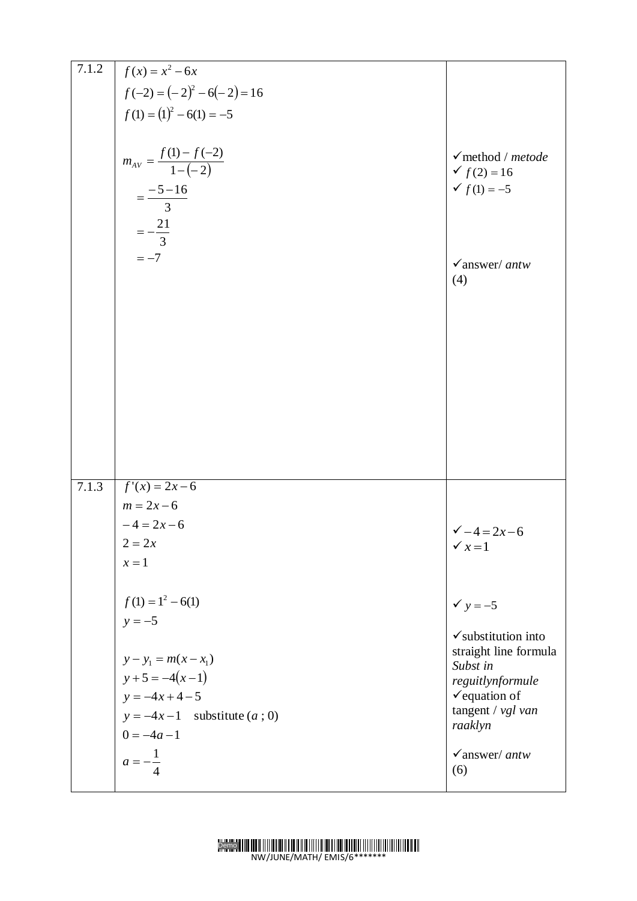| 7.1.2 |                                          |                                |
|-------|------------------------------------------|--------------------------------|
|       | $f(x) = x^2 - 6x$                        |                                |
|       | $f(-2) = (-2)^2 - 6(-2) = 16$            |                                |
|       | $f(1) = (1)^2 - 6(1) = -5$               |                                |
|       |                                          |                                |
|       |                                          | $\checkmark$ method / metode   |
|       | $m_{AV} = \frac{f(1) - f(-2)}{1 - (-2)}$ | $f(2) = 16$                    |
|       |                                          | $f(1) = -5$                    |
|       | $=\frac{-5-16}{3}$                       |                                |
|       |                                          |                                |
|       | $=-\frac{21}{3}$                         |                                |
|       | $=-7$                                    | $\checkmark$ answer/ antw      |
|       |                                          | (4)                            |
|       |                                          |                                |
|       |                                          |                                |
|       |                                          |                                |
|       |                                          |                                |
|       |                                          |                                |
|       |                                          |                                |
|       |                                          |                                |
|       |                                          |                                |
|       |                                          |                                |
|       |                                          |                                |
|       |                                          |                                |
| 7.1.3 | $f'(x) = 2x-6$                           |                                |
|       | $m = 2x - 6$                             |                                |
|       | $-4 = 2x - 6$                            | $\sqrt{-4} = 2x - 6$           |
|       | $2 = 2x$                                 | $\checkmark$ $x=1$             |
|       | $x=1$                                    |                                |
|       |                                          |                                |
|       | $f(1) = 1^2 - 6(1)$                      | $\checkmark$ y = -5            |
|       | $y = -5$                                 |                                |
|       |                                          | $\checkmark$ substitution into |
|       | $y - y_1 = m(x - x_1)$                   | straight line formula          |
|       | $y+5 = -4(x-1)$                          | Subst in<br>reguitlynformule   |
|       | $y = -4x + 4 - 5$                        | $\checkmark$ equation of       |
|       | $y = -4x-1$ substitute $(a, 0)$          | tangent / $vgl van$            |
|       | $0 = -4a - 1$                            | raaklyn                        |
|       |                                          | $\checkmark$ answer/ antw      |
|       | $a=-\frac{1}{x}$                         | (6)                            |
|       |                                          |                                |

#### Demo NW/JUNE/MATH/ EMIS/6\*\*\*\*\*\*\*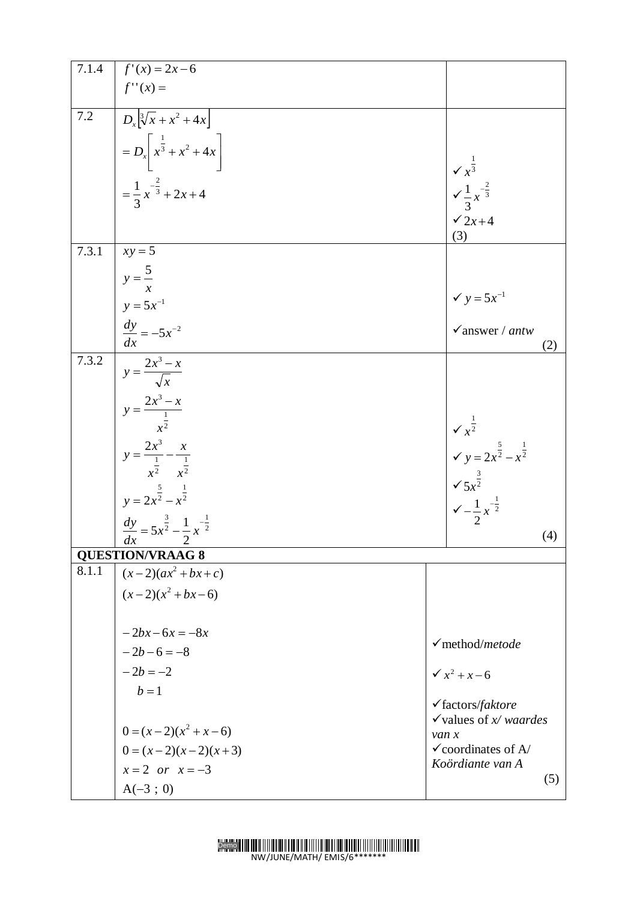| 7.1.4   | $f'(x) = 2x-6$                                                                                                                                                                      |       |                                                                                                                                                                           |
|---------|-------------------------------------------------------------------------------------------------------------------------------------------------------------------------------------|-------|---------------------------------------------------------------------------------------------------------------------------------------------------------------------------|
|         | $f''(x) =$                                                                                                                                                                          |       |                                                                                                                                                                           |
| $7.2\,$ | $\boxed{D_x \left[\sqrt[3]{x} + x^2 + 4x\right]}$                                                                                                                                   |       |                                                                                                                                                                           |
|         |                                                                                                                                                                                     |       |                                                                                                                                                                           |
|         |                                                                                                                                                                                     |       |                                                                                                                                                                           |
|         |                                                                                                                                                                                     |       |                                                                                                                                                                           |
|         | $= D_x \left[ x^{\frac{1}{3}} + x^2 + 4x \right]$<br>= $\frac{1}{3} x^{-\frac{2}{3}} + 2x + 4$                                                                                      |       |                                                                                                                                                                           |
|         |                                                                                                                                                                                     |       | $\begin{array}{r} \n\sqrt{x^3} \\ \sqrt{1-x^2} \\ 3 \\ \sqrt{2x+4}\n\end{array}$                                                                                          |
|         |                                                                                                                                                                                     |       |                                                                                                                                                                           |
| 7.3.1   | $xy = 5$                                                                                                                                                                            |       |                                                                                                                                                                           |
|         |                                                                                                                                                                                     |       |                                                                                                                                                                           |
|         |                                                                                                                                                                                     |       |                                                                                                                                                                           |
|         |                                                                                                                                                                                     |       | $\checkmark$ y = 5x <sup>-1</sup><br>$\checkmark$ answer / antw                                                                                                           |
|         | $y = \frac{5}{x}$<br>$y = 5x^{-1}$<br>$\frac{dy}{dx} = -5x^{-2}$                                                                                                                    |       | (2)                                                                                                                                                                       |
| 7.3.2   | $y = \frac{2x^3 - x}{\sqrt{x}}$<br>$y = \frac{2x^3 - x}{x^2}$<br>$y = \frac{2x^3}{x^2} - \frac{x}{x^2}$<br>$y = 2x^2 - x^2$<br>$\frac{dy}{dx} = 5x^2 - \frac{1}{2}x^{-\frac{1}{2}}$ |       |                                                                                                                                                                           |
|         |                                                                                                                                                                                     |       |                                                                                                                                                                           |
|         |                                                                                                                                                                                     |       |                                                                                                                                                                           |
|         |                                                                                                                                                                                     |       |                                                                                                                                                                           |
|         |                                                                                                                                                                                     |       |                                                                                                                                                                           |
|         |                                                                                                                                                                                     |       |                                                                                                                                                                           |
|         |                                                                                                                                                                                     |       |                                                                                                                                                                           |
|         |                                                                                                                                                                                     |       |                                                                                                                                                                           |
|         |                                                                                                                                                                                     |       | $\begin{cases}\n\sqrt{x^{\frac{1}{2}}} \\ \sqrt{y} = 2x^{\frac{5}{2}} - x^{\frac{1}{2}} \\ \sqrt{5x^{\frac{3}{2}}} \\ \sqrt{-\frac{1}{2}x^{-\frac{1}{2}}} \\ \end{cases}$ |
|         | dx<br>2<br><b>QUESTION/VRAAG 8</b>                                                                                                                                                  |       | (4)                                                                                                                                                                       |
| 8.1.1   | $(x-2)(ax^2+bx+c)$                                                                                                                                                                  |       |                                                                                                                                                                           |
|         | $(x-2)(x^2+bx-6)$                                                                                                                                                                   |       |                                                                                                                                                                           |
|         |                                                                                                                                                                                     |       |                                                                                                                                                                           |
|         | $-2bx-6x = -8x$                                                                                                                                                                     |       |                                                                                                                                                                           |
|         | $-2b-6=-8$<br>$-2b=-2$                                                                                                                                                              |       | $\checkmark$ method/metode                                                                                                                                                |
|         |                                                                                                                                                                                     |       | $\sqrt{x^2 + x - 6}$                                                                                                                                                      |
|         | $b=1$                                                                                                                                                                               |       |                                                                                                                                                                           |
|         |                                                                                                                                                                                     |       | $\checkmark$ factors/faktore<br>$\checkmark$ values of x/waardes                                                                                                          |
|         | $0 = (x-2)(x^2 + x - 6)$                                                                                                                                                            | van x |                                                                                                                                                                           |
|         | $0 = (x-2)(x-2)(x+3)$                                                                                                                                                               |       | $\checkmark$ coordinates of A/                                                                                                                                            |
|         | $x=2$ or $x=-3$                                                                                                                                                                     |       | Koördiante van A<br>(5)                                                                                                                                                   |
|         | $A(-3 ; 0)$                                                                                                                                                                         |       |                                                                                                                                                                           |